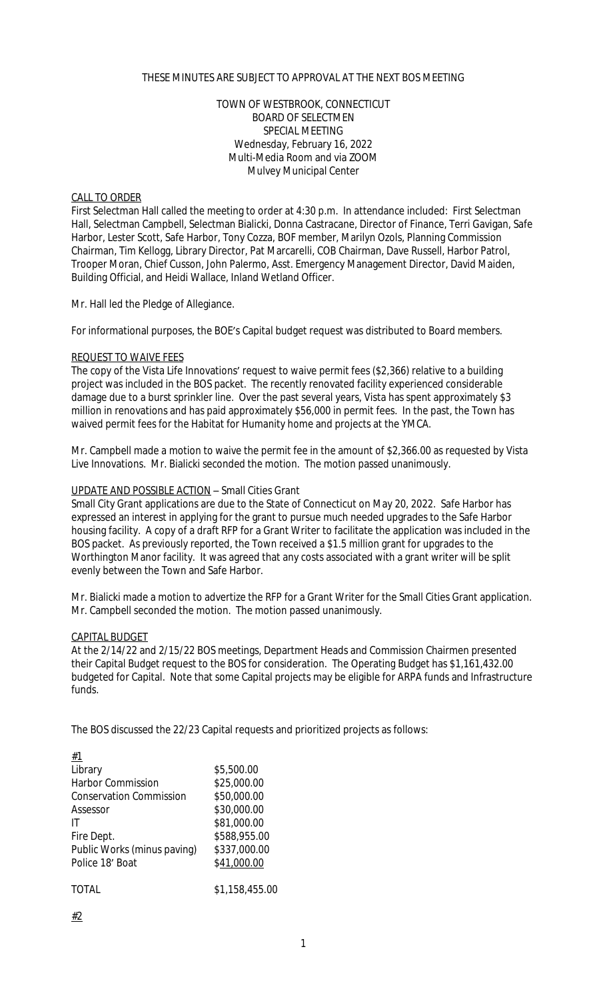## THESE MINUTES ARE SUBJECT TO APPROVAL AT THE NEXT BOS MEETING

## TOWN OF WESTBROOK, CONNECTICUT BOARD OF SELECTMEN SPECIAL MEETING Wednesday, February 16, 2022 Multi-Media Room and via ZOOM Mulvey Municipal Center

### CALL TO ORDER

First Selectman Hall called the meeting to order at 4:30 p.m. In attendance included: First Selectman Hall, Selectman Campbell, Selectman Bialicki, Donna Castracane, Director of Finance, Terri Gavigan, Safe Harbor, Lester Scott, Safe Harbor, Tony Cozza, BOF member, Marilyn Ozols, Planning Commission Chairman, Tim Kellogg, Library Director, Pat Marcarelli, COB Chairman, Dave Russell, Harbor Patrol, Trooper Moran, Chief Cusson, John Palermo, Asst. Emergency Management Director, David Maiden, Building Official, and Heidi Wallace, Inland Wetland Officer.

Mr. Hall led the Pledge of Allegiance.

For informational purposes, the BOE's Capital budget request was distributed to Board members.

#### REQUEST TO WAIVE FEES

The copy of the Vista Life Innovations' request to waive permit fees (\$2,366) relative to a building project was included in the BOS packet. The recently renovated facility experienced considerable damage due to a burst sprinkler line. Over the past several years, Vista has spent approximately \$3 million in renovations and has paid approximately \$56,000 in permit fees. In the past, the Town has waived permit fees for the Habitat for Humanity home and projects at the YMCA.

Mr. Campbell made a motion to waive the permit fee in the amount of \$2,366.00 as requested by Vista Live Innovations. Mr. Bialicki seconded the motion. The motion passed unanimously.

### UPDATE AND POSSIBLE ACTION – Small Cities Grant

Small City Grant applications are due to the State of Connecticut on May 20, 2022. Safe Harbor has expressed an interest in applying for the grant to pursue much needed upgrades to the Safe Harbor housing facility. A copy of a draft RFP for a Grant Writer to facilitate the application was included in the BOS packet. As previously reported, the Town received a \$1.5 million grant for upgrades to the Worthington Manor facility. It was agreed that any costs associated with a grant writer will be split evenly between the Town and Safe Harbor.

Mr. Bialicki made a motion to advertize the RFP for a Grant Writer for the Small Cities Grant application. Mr. Campbell seconded the motion. The motion passed unanimously.

#### CAPITAL BUDGET

At the 2/14/22 and 2/15/22 BOS meetings, Department Heads and Commission Chairmen presented their Capital Budget request to the BOS for consideration. The Operating Budget has \$1,161,432.00 budgeted for Capital. Note that some Capital projects may be eligible for ARPA funds and Infrastructure funds.

The BOS discussed the 22/23 Capital requests and prioritized projects as follows:

| #1                             |                |
|--------------------------------|----------------|
| Library                        | \$5,500.00     |
| <b>Harbor Commission</b>       | \$25,000.00    |
| <b>Conservation Commission</b> | \$50,000.00    |
| Assessor                       | \$30,000.00    |
| IT                             | \$81,000.00    |
| Fire Dept.                     | \$588,955.00   |
| Public Works (minus paving)    | \$337,000.00   |
| Police 18' Boat                | \$41,000.00    |
|                                |                |
| TOTAL                          | \$1,158,455.00 |